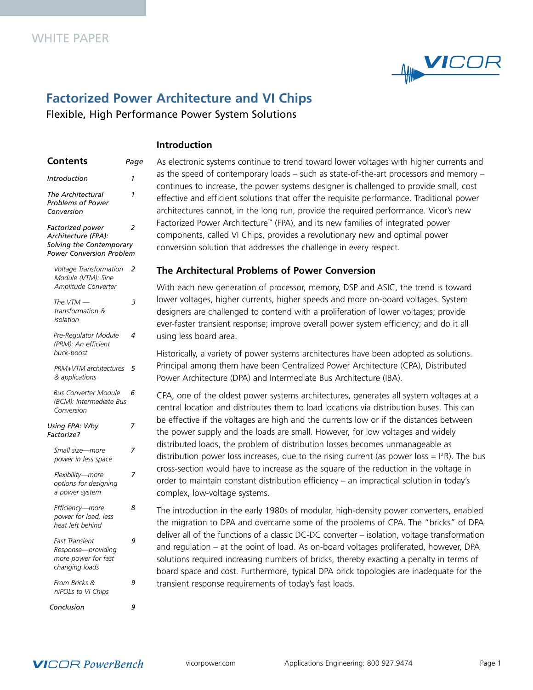

# **Factorized Power Architecture and VI Chips**

Flexible, High Performance Power System Solutions

# **Introduction**

| Contents                                                                                               | Page |
|--------------------------------------------------------------------------------------------------------|------|
| <b>Introduction</b>                                                                                    | 1    |
| The Architectural<br><b>Problems of Power</b><br>Conversion                                            | 1    |
| Factorized power<br>Architecture (FPA):<br>Solving the Contemporary<br><b>Power Conversion Problem</b> | 2    |
| Voltage Transformation<br>Module (VTM): Sine<br>Amplitude Converter                                    | 2    |
| The $VTM$ -<br>transformation &<br>isolation                                                           | 3    |
| Pre-Regulator Module<br>(PRM): An efficient<br>buck-boost                                              | 4    |
| PRM+VTM architectures<br>& applications                                                                | 5    |
| <b>Bus Converter Module</b><br>(BCM): Intermediate Bus<br>Conversion                                   | 6    |
| Using FPA: Why<br>Factorize?                                                                           | 7    |
| Small size-more<br>power in less space                                                                 | 7    |
| Flexibility-more<br>options for designing<br>a power system                                            | 7    |
| Efficiency-more<br>power for load, less<br>heat left behind                                            | 8    |
| <b>Fast Transient</b><br>Response-providing<br>more power for fast<br>changing loads                   | 9    |
| From Bricks &<br>niPOLs to VI Chips                                                                    | 9    |

As electronic systems continue to trend toward lower voltages with higher currents and as the speed of contemporary loads – such as state-of-the-art processors and memory – continues to increase, the power systems designer is challenged to provide small, cost effective and efficient solutions that offer the requisite performance. Traditional power architectures cannot, in the long run, provide the required performance. Vicor's new Factorized Power Architecture™ (FPA), and its new families of integrated power components, called VI Chips, provides a revolutionary new and optimal power conversion solution that addresses the challenge in every respect.

# **The Architectural Problems of Power Conversion**

With each new generation of processor, memory, DSP and ASIC, the trend is toward lower voltages, higher currents, higher speeds and more on-board voltages. System designers are challenged to contend with a proliferation of lower voltages; provide ever-faster transient response; improve overall power system efficiency; and do it all using less board area.

Historically, a variety of power systems architectures have been adopted as solutions. Principal among them have been Centralized Power Architecture (CPA), Distributed Power Architecture (DPA) and Intermediate Bus Architecture (IBA).

CPA, one of the oldest power systems architectures, generates all system voltages at a central location and distributes them to load locations via distribution buses. This can be effective if the voltages are high and the currents low or if the distances between the power supply and the loads are small. However, for low voltages and widely distributed loads, the problem of distribution losses becomes unmanageable as distribution power loss increases, due to the rising current (as power loss  $=$  I<sup>2</sup>R). The bus cross-section would have to increase as the square of the reduction in the voltage in order to maintain constant distribution efficiency – an impractical solution in today's complex, low-voltage systems.

The introduction in the early 1980s of modular, high-density power converters, enabled the migration to DPA and overcame some of the problems of CPA. The "bricks" of DPA deliver all of the functions of a classic DC-DC converter – isolation, voltage transformation and regulation – at the point of load. As on-board voltages proliferated, however, DPA solutions required increasing numbers of bricks, thereby exacting a penalty in terms of board space and cost. Furthermore, typical DPA brick topologies are inadequate for the transient response requirements of today's fast loads.



*Conclusion 9*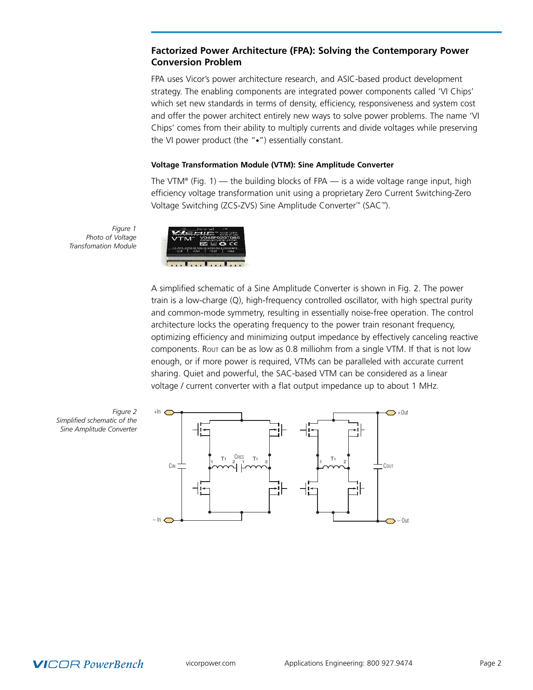# **Factorized Power Architecture (FPA): Solving the Contemporary Power Conversion Problem**

FPA uses Vicor's power architecture research, and ASIC-based product development strategy. The enabling components are integrated power components called 'VI Chips' which set new standards in terms of density, efficiency, responsiveness and system cost and offer the power architect entirely new ways to solve power problems. The name 'VI Chips' comes from their ability to multiply currents and divide voltages while preserving the VI power product (the "•") essentially constant.

#### **Voltage Transformation Module (VTM): Sine Amplitude Converter**

The VTM® (Fig. 1) — the building blocks of FPA — is a wide voltage range input, high efficiency voltage transformation unit using a proprietary Zero Current Switching-Zero Voltage Switching (ZCS-ZVS) Sine Amplitude Converter ™ (SAC™).

*Figure 1 Photo of Voltage Transfomation Module*



A simplified schematic of a Sine Amplitude Converter is shown in Fig. 2. The power train is a low-charge (Q), high-frequency controlled oscillator, with high spectral purity and common-mode symmetry, resulting in essentially noise-free operation. The control architecture locks the operating frequency to the power train resonant frequency, optimizing efficiency and minimizing output impedance by effectively canceling reactive components. ROUT can be as low as 0.8 milliohm from a single VTM. If that is not low enough, or if more power is required, VTMs can be paralleled with accurate current sharing. Quiet and powerful, the SAC-based VTM can be considered as a linear voltage / current converter with a flat output impedance up to about 1 MHz.



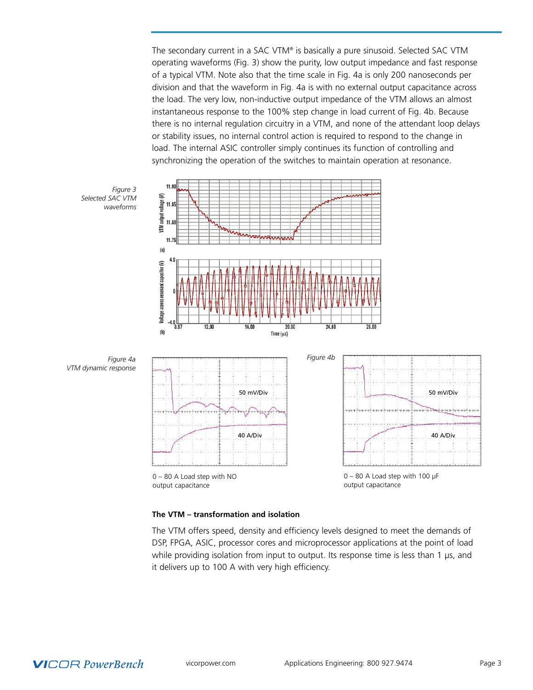The secondary current in a SAC VTM® is basically a pure sinusoid. Selected SAC VTM operating waveforms (Fig. 3) show the purity, low output impedance and fast response of a typical VTM. Note also that the time scale in Fig. 4a is only 200 nanoseconds per division and that the waveform in Fig. 4a is with no external output capacitance across the load. The very low, non-inductive output impedance of the VTM allows an almost instantaneous response to the 100% step change in load current of Fig. 4b. Because there is no internal regulation circuitry in a VTM, and none of the attendant loop delays or stability issues, no internal control action is required to respond to the change in load. The internal ASIC controller simply continues its function of controlling and synchronizing the operation of the switches to maintain operation at resonance.



#### **The VTM – transformation and isolation**

The VTM offers speed, density and efficiency levels designed to meet the demands of DSP, FPGA, ASIC, processor cores and microprocessor applications at the point of load while providing isolation from input to output. Its response time is less than 1 µs, and it delivers up to 100 A with very high efficiency.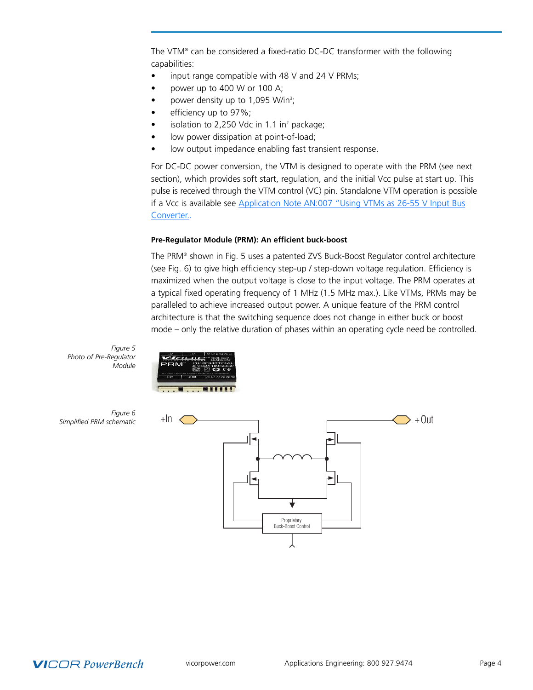The VTM® can be considered a fixed-ratio DC-DC transformer with the following capabilities:

- input range compatible with 48 V and 24 V PRMs;
- power up to 400 W or 100 A;
- power density up to 1,095 W/in<sup>3</sup>;
- efficiency up to 97%;
- isolation to 2,250 Vdc in 1.1 in<sup>2</sup> package;
- low power dissipation at point-of-load;
- low output impedance enabling fast transient response.

For DC-DC power conversion, the VTM is designed to operate with the PRM (see next section), which provides soft start, regulation, and the initial Vcc pulse at start up. This pulse is received through the VTM control (VC) pin. Standalone VTM operation is possible if a Vcc is available see [Application](http://www.vicorpower.com/documents/application_notes/vichip_appnote7.pdf) Note AN:007 "Using VTMs as 26-55 V Input Bus [Converter..](http://www.vicorpower.com/documents/application_notes/vichip_appnote7.pdf)

#### **Pre-Regulator Module (PRM): An efficient buck-boost**

The PRM® shown in Fig. 5 uses a patented ZVS Buck-Boost Regulator control architecture (see Fig. 6) to give high efficiency step-up / step-down voltage regulation. Efficiency is maximized when the output voltage is close to the input voltage. The PRM operates at a typical fixed operating frequency of 1 MHz (1.5 MHz max.). Like VTMs, PRMs may be paralleled to achieve increased output power. A unique feature of the PRM control architecture is that the switching sequence does not change in either buck or boost mode – only the relative duration of phases within an operating cycle need be controlled.

*Figure 5 Photo of Pre-Regulator Module*





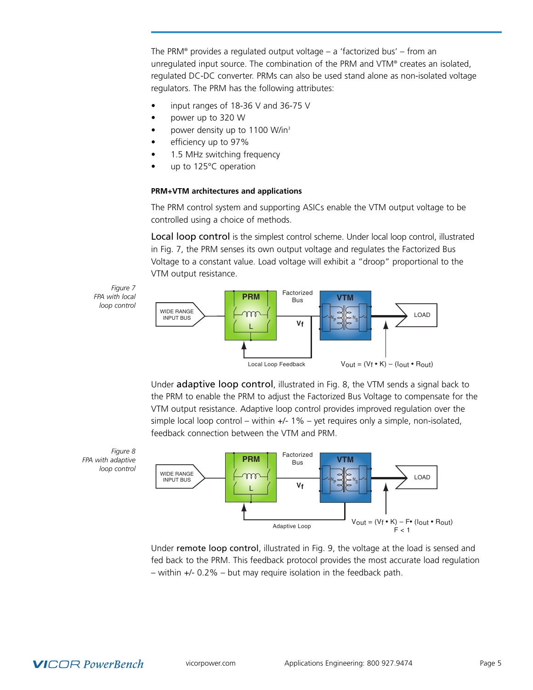The PRM® provides a regulated output voltage – a 'factorized bus' – from an unregulated input source. The combination of the PRM and VTM® creates an isolated, regulated DC-DC converter. PRMs can also be used stand alone as non-isolated voltage regulators. The PRM has the following attributes:

- input ranges of 18-36 V and 36-75 V
- power up to 320 W
- power density up to 1100 W/in<sup>3</sup>
- efficiency up to 97%
- 1.5 MHz switching frequency
- up to 125°C operation

### **PRM+VTM architectures and applications**

The PRM control system and supporting ASICs enable the VTM output voltage to be controlled using a choice of methods.

Local loop control is the simplest control scheme. Under local loop control, illustrated in Fig. 7, the PRM senses its own output voltage and regulates the Factorized Bus Voltage to a constant value. Load voltage will exhibit a "droop" proportional to the VTM output resistance.

*Figure 7 FPA with local loop control*



Under adaptive loop control, illustrated in Fig. 8, the VTM sends a signal back to the PRM to enable the PRM to adjust the Factorized Bus Voltage to compensate for the VTM output resistance. Adaptive loop control provides improved regulation over the simple local loop control – within  $+/-1\%$  – yet requires only a simple, non-isolated, feedback connection between the VTM and PRM.





Under remote loop control, illustrated in Fig. 9, the voltage at the load is sensed and fed back to the PRM. This feedback protocol provides the most accurate load regulation – within +/- 0.2% – but may require isolation in the feedback path.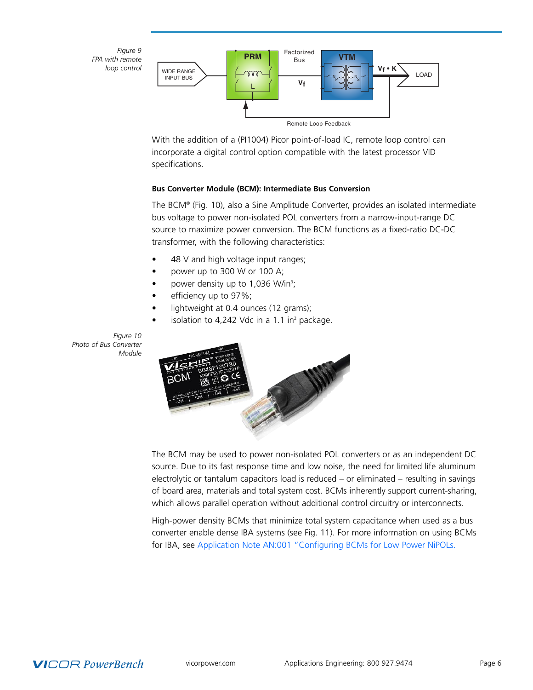*Figure 9 FPA with remote loop control*



With the addition of a (PI1004) Picor point-of-load IC, remote loop control can incorporate a digital control option compatible with the latest processor VID specifications.

#### **Bus Converter Module (BCM): Intermediate Bus Conversion**

The BCM® (Fig. 10), also a Sine Amplitude Converter, provides an isolated intermediate bus voltage to power non-isolated POL converters from a narrow-input-range DC source to maximize power conversion. The BCM functions as a fixed-ratio DC-DC transformer, with the following characteristics:

- 48 V and high voltage input ranges;
- power up to 300 W or 100 A;
- power density up to 1,036 W/in<sup>3</sup>;
- efficiency up to 97%;
- lightweight at 0.4 ounces (12 grams);
- isolation to 4,242 Vdc in a 1.1 in $^2$  package.

*Figure 10 Photo of Bus Converter Module*



The BCM may be used to power non-isolated POL converters or as an independent DC source. Due to its fast response time and low noise, the need for limited life aluminum electrolytic or tantalum capacitors load is reduced – or eliminated – resulting in savings of board area, materials and total system cost. BCMs inherently support current-sharing, which allows parallel operation without additional control circuitry or interconnects.

High-power density BCMs that minimize total system capacitance when used as a bus converter enable dense IBA systems (see Fig. 11). For more information on using BCMs for IBA, see Application Note AN:001 ["Configuring](http://www.vicorpower.com/documents/application_notes/vichip_appnote1.pdf) BCMs for Low Power NiPOLs.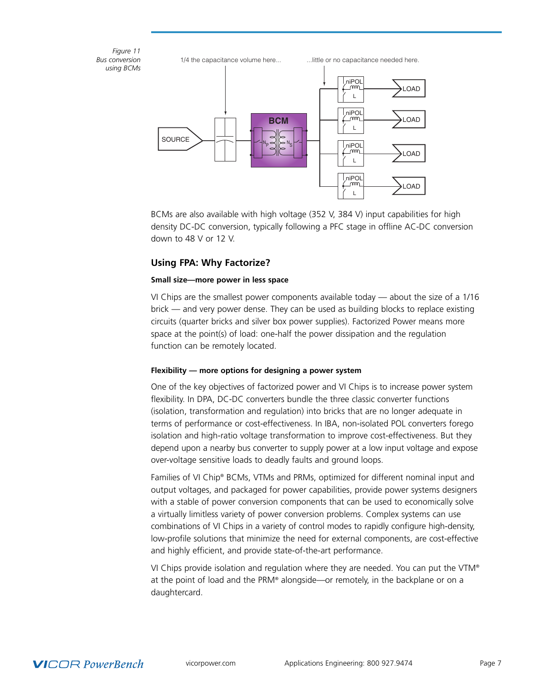*Figure 11 Bus conversion using BCMs* SOURCE LOAD LOAD LOAD LOAD  $N_P \triangleleft N_S$ **BCM** L niPOL L niPOL L niPOL niPOL 1/4 the capacitance volume here... ...little or no capacitance needed here.

> BCMs are also available with high voltage (352 V, 384 V) input capabilities for high density DC-DC conversion, typically following a PFC stage in offline AC-DC conversion down to 48 V or 12 V.

L

# **Using FPA: Why Factorize?**

# **Small size—more power in less space**

VI Chips are the smallest power components available today — about the size of a 1/16 brick — and very power dense. They can be used as building blocks to replace existing circuits (quarter bricks and silver box power supplies). Factorized Power means more space at the point(s) of load: one-half the power dissipation and the regulation function can be remotely located.

# **Flexibility — more options for designing a power system**

One of the key objectives of factorized power and VI Chips is to increase power system flexibility. In DPA, DC-DC converters bundle the three classic converter functions (isolation, transformation and regulation) into bricks that are no longer adequate in terms of performance or cost-effectiveness. In IBA, non-isolated POL converters forego isolation and high-ratio voltage transformation to improve cost-effectiveness. But they depend upon a nearby bus converter to supply power at a low input voltage and expose over-voltage sensitive loads to deadly faults and ground loops.

Families of VI Chip® BCMs, VTMs and PRMs, optimized for different nominal input and output voltages, and packaged for power capabilities, provide power systems designers with a stable of power conversion components that can be used to economically solve a virtually limitless variety of power conversion problems. Complex systems can use combinations of VI Chips in a variety of control modes to rapidly configure high-density, low-profile solutions that minimize the need for external components, are cost-effective and highly efficient, and provide state-of-the-art performance.

VI Chips provide isolation and regulation where they are needed. You can put the VTM® at the point of load and the PRM® alongside—or remotely, in the backplane or on a daughtercard.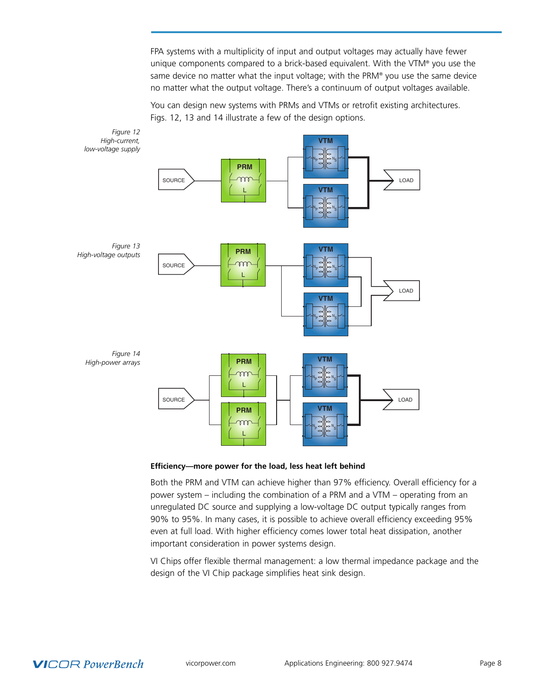FPA systems with a multiplicity of input and output voltages may actually have fewer unique components compared to a brick-based equivalent. With the VTM® you use the same device no matter what the input voltage; with the PRM® you use the same device no matter what the output voltage. There's a continuum of output voltages available.

You can design new systems with PRMs and VTMs or retrofit existing architectures. Figs. 12, 13 and 14 illustrate a few of the design options.



**Efficiency—more power for the load, less heat left behind**

Both the PRM and VTM can achieve higher than 97% efficiency. Overall efficiency for a power system – including the combination of a PRM and a VTM – operating from an unregulated DC source and supplying a low-voltage DC output typically ranges from 90% to 95%. In many cases, it is possible to achieve overall efficiency exceeding 95% even at full load. With higher efficiency comes lower total heat dissipation, another important consideration in power systems design.

VI Chips offer flexible thermal management: a low thermal impedance package and the design of the VI Chip package simplifies heat sink design.